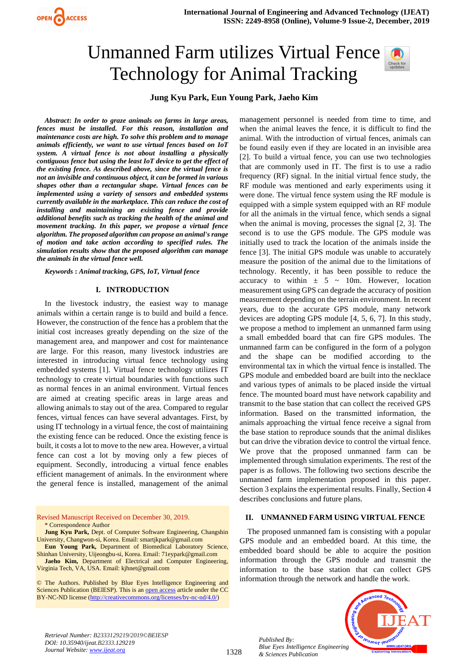# Unmanned Farm utilizes Virtual Fence Technology for Animal Tracking



# **Jung Kyu Park, Eun Young Park, Jaeho Kim**

*Abstract***:** *In order to graze animals on farms in large areas, fences must be installed. For this reason, installation and maintenance costs are high. To solve this problem and to manage animals efficiently, we want to use virtual fences based on IoT system. A virtual fence is not about installing a physically contiguous fence but using the least IoT device to get the effect of the existing fence. As described above, since the virtual fence is not an invisible and continuous object, it can be formed in various shapes other than a rectangular shape. Virtual fences can be implemented using a variety of sensors and embedded systems currently available in the marketplace. This can reduce the cost of installing and maintaining an existing fence and provide additional benefits such as tracking the health of the animal and movement tracking. In this paper, we propose a virtual fence algorithm. The proposed algorithm can propose an animal's range of motion and take action according to specified rules. The simulation results show that the proposed algorithm can manage the animals in the virtual fence well.*

*Keywords* **:** *Animal tracking, GPS, IoT, Virtual fence*

#### **I. INTRODUCTION**

In the livestock industry, the easiest way to manage animals within a certain range is to build and build a fence. However, the construction of the fence has a problem that the initial cost increases greatly depending on the size of the management area, and manpower and cost for maintenance are large. For this reason, many livestock industries are interested in introducing virtual fence technology using embedded systems [1]. Virtual fence technology utilizes IT technology to create virtual boundaries with functions such as normal fences in an animal environment. Virtual fences are aimed at creating specific areas in large areas and allowing animals to stay out of the area. Compared to regular fences, virtual fences can have several advantages. First, by using IT technology in a virtual fence, the cost of maintaining the existing fence can be reduced. Once the existing fence is built, it costs a lot to move to the new area. However, a virtual fence can cost a lot by moving only a few pieces of equipment. Secondly, introducing a virtual fence enables efficient management of animals. In the environment where the general fence is installed, management of the animal

Revised Manuscript Received on December 30, 2019. \* Correspondence Author

**Jung Kyu Park,** Dept. of Computer Software Engineering, Changshin University, Changwon-si, Korea. Email: smartjkpark@gmail.com

**Eun Young Park,** Department of Biomedical Laboratory Science, Shinhan University, Uijeongbu-si, Korea. Email: 71eypark@gmail.com

**Jaeho Kim,** Department of Electrical and Computer Engineering, Virginia Tech, VA, USA. Email: kjhnet@gmail.com

© The Authors. Published by Blue Eyes Intelligence Engineering and Sciences Publication (BEIESP). This is a[n open access](https://www.openaccess.nl/en/open-publications) article under the CC BY-NC-ND license [\(http://creativecommons.org/licenses/by-nc-nd/4.0/\)](http://creativecommons.org/licenses/by-nc-nd/4.0/)

management personnel is needed from time to time, and when the animal leaves the fence, it is difficult to find the animal. With the introduction of virtual fences, animals can be found easily even if they are located in an invisible area [2]. To build a virtual fence, you can use two technologies that are commonly used in IT. The first is to use a radio frequency (RF) signal. In the initial virtual fence study, the RF module was mentioned and early experiments using it were done. The virtual fence system using the RF module is equipped with a simple system equipped with an RF module for all the animals in the virtual fence, which sends a signal when the animal is moving, processes the signal [2, 3]. The second is to use the GPS module. The GPS module was initially used to track the location of the animals inside the fence [3]. The initial GPS module was unable to accurately measure the position of the animal due to the limitations of technology. Recently, it has been possible to reduce the accuracy to within  $\pm$  5 ~ 10m. However, location measurement using GPS can degrade the accuracy of position measurement depending on the terrain environment. In recent years, due to the accurate GPS module, many network devices are adopting GPS module [4, 5, 6, 7]. In this study, we propose a method to implement an unmanned farm using a small embedded board that can fire GPS modules. The unmanned farm can be configured in the form of a polygon and the shape can be modified according to the environmental tax in which the virtual fence is installed. The GPS module and embedded board are built into the necklace and various types of animals to be placed inside the virtual fence. The mounted board must have network capability and transmit to the base station that can collect the received GPS information. Based on the transmitted information, the animals approaching the virtual fence receive a signal from the base station to reproduce sounds that the animal dislikes but can drive the vibration device to control the virtual fence. We prove that the proposed unmanned farm can be implemented through simulation experiments. The rest of the paper is as follows. The following two sections describe the unmanned farm implementation proposed in this paper. Section 3 explains the experimental results. Finally, Section 4 describes conclusions and future plans.

## **II. UNMANNED FARM USING VIRTUAL FENCE**

The proposed unmanned fam is consisting with a popular GPS module and an embedded board. At this time, the embedded board should be able to acquire the position information through the GPS module and transmit the information to the base station that can collect GPS information through the network and handle the work.



*Retrieval Number: B2333129219/2019©BEIESP DOI: 10.35940/ijeat.B2333.129219 Journal Website: [www.ijeat.org](http://www.ijeat.org/)*

1328

*Published By: Blue Eyes Intelligence Engineering & Sciences Publication*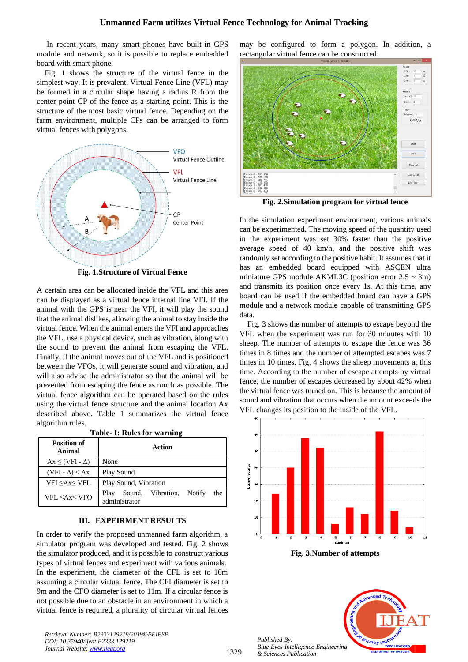In recent years, many smart phones have built-in GPS module and network, so it is possible to replace embedded board with smart phone.

Fig. 1 shows the structure of the virtual fence in the simplest way. It is prevalent. Virtual Fence Line (VFL) may be formed in a circular shape having a radius R from the center point CP of the fence as a starting point. This is the structure of the most basic virtual fence. Depending on the farm environment, multiple CPs can be arranged to form virtual fences with polygons.



**Fig. 1.Structure of Virtual Fence**

A certain area can be allocated inside the VFL and this area can be displayed as a virtual fence internal line VFI. If the animal with the GPS is near the VFI, it will play the sound that the animal dislikes, allowing the animal to stay inside the virtual fence. When the animal enters the VFI and approaches the VFL, use a physical device, such as vibration, along with the sound to prevent the animal from escaping the VFL. Finally, if the animal moves out of the VFL and is positioned between the VFOs, it will generate sound and vibration, and will also advise the administrator so that the animal will be prevented from escaping the fence as much as possible. The virtual fence algorithm can be operated based on the rules using the virtual fence structure and the animal location Ax described above. Table 1 summarizes the virtual fence algorithm rules.

**Table- I: Rules for warning**

| <b>Position of</b><br>Animal                                                                              | Action                                                         |
|-----------------------------------------------------------------------------------------------------------|----------------------------------------------------------------|
| $Ax \leq (VFI - \Delta)$                                                                                  | None                                                           |
| $(VFI - \Delta) < Ax$                                                                                     | Play Sound                                                     |
| VFI ≤Ax≤ VFL                                                                                              | Play Sound, Vibration                                          |
| VFL <ax< th="" vfo<=""><td>Vibration,<br/>Notify<br/>Sound.<br/>the<br/>Play<br/>administrator</td></ax<> | Vibration,<br>Notify<br>Sound.<br>the<br>Play<br>administrator |

#### **III. EXPEIRMENT RESULTS**

In order to verify the proposed unmanned farm algorithm, a simulator program was developed and tested. Fig. 2 shows the simulator produced, and it is possible to construct various types of virtual fences and experiment with various animals. In the experiment, the diameter of the CFL is set to 10m assuming a circular virtual fence. The CFI diameter is set to 9m and the CFO diameter is set to 11m. If a circular fence is not possible due to an obstacle in an environment in which a virtual fence is required, a plurality of circular virtual fences

*Retrieval Number: B2333129219/2019©BEIESP DOI: 10.35940/ijeat.B2333.129219 Journal Website: [www.ijeat.org](http://www.ijeat.org/)*

may be configured to form a polygon. In addition, a rectangular virtual fence can be constructed.



**Fig. 2.Simulation program for virtual fence**

In the simulation experiment environment, various animals can be experimented. The moving speed of the quantity used in the experiment was set 30% faster than the positive average speed of 40 km/h, and the positive shift was randomly set according to the positive habit. It assumes that it has an embedded board equipped with ASCEN ultra miniature GPS module AKML3C (position error  $2.5 \sim 3m$ ) and transmits its position once every 1s. At this time, any board can be used if the embedded board can have a GPS module and a network module capable of transmitting GPS data.

Fig. 3 shows the number of attempts to escape beyond the VFL when the experiment was run for 30 minutes with 10 sheep. The number of attempts to escape the fence was 36 times in 8 times and the number of attempted escapes was 7 times in 10 times. Fig. 4 shows the sheep movements at this time. According to the number of escape attempts by virtual fence, the number of escapes decreased by about 42% when the virtual fence was turned on. This is because the amount of sound and vibration that occurs when the amount exceeds the VFL changes its position to the inside of the VFL.



**Fig. 3.Number of attempts**



*Published By:*

*& Sciences Publication*